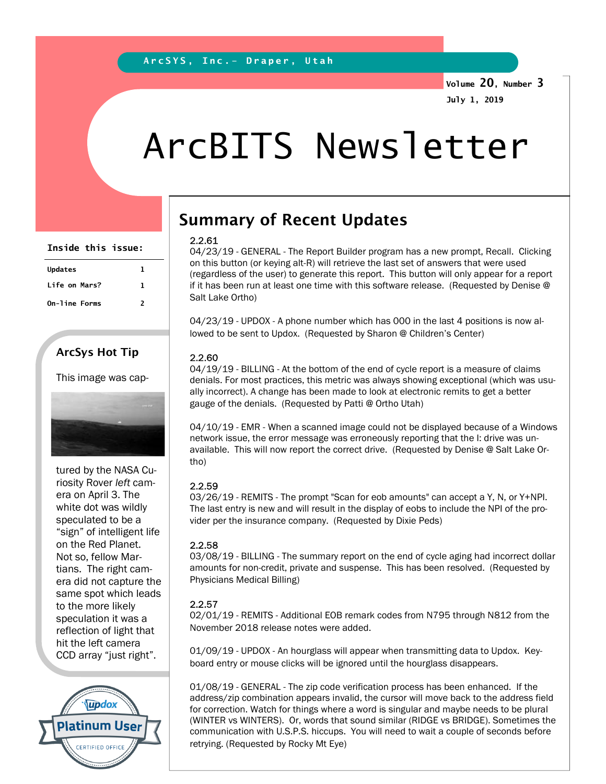Volume 20, Number 3 July 1, 2019

# ArcBITS Newsletter

| Inside this issue: |   |
|--------------------|---|
| <b>Updates</b>     | 1 |
| Life on Mars?      | 1 |
| On-line Forms      | 2 |
|                    |   |

### ArcSys Hot Tip

This image was cap-



tured by the NASA Curiosity Rover left camera on April 3. The white dot was wildly speculated to be a "sign" of intelligent life on the Red Planet. Not so, fellow Martians. The right camera did not capture the same spot which leads to the more likely speculation it was a reflection of light that hit the left camera CCD array "just right".



## Summary of Recent Updates

#### 2.2.61

04/23/19 - GENERAL - The Report Builder program has a new prompt, Recall. Clicking on this button (or keying alt-R) will retrieve the last set of answers that were used (regardless of the user) to generate this report. This button will only appear for a report if it has been run at least one time with this software release. (Requested by Denise @ Salt Lake Ortho)

04/23/19 - UPDOX - A phone number which has 000 in the last 4 positions is now allowed to be sent to Updox. (Requested by Sharon @ Children's Center)

#### 2.2.60

04/19/19 - BILLING - At the bottom of the end of cycle report is a measure of claims denials. For most practices, this metric was always showing exceptional (which was usually incorrect). A change has been made to look at electronic remits to get a better gauge of the denials. (Requested by Patti @ Ortho Utah)

04/10/19 - EMR - When a scanned image could not be displayed because of a Windows network issue, the error message was erroneously reporting that the I: drive was unavailable. This will now report the correct drive. (Requested by Denise @ Salt Lake Ortho)

#### 2.2.59

03/26/19 - REMITS - The prompt "Scan for eob amounts" can accept a Y, N, or Y+NPI. The last entry is new and will result in the display of eobs to include the NPI of the provider per the insurance company. (Requested by Dixie Peds)

#### 2.2.58

03/08/19 - BILLING - The summary report on the end of cycle aging had incorrect dollar amounts for non-credit, private and suspense. This has been resolved. (Requested by Physicians Medical Billing)

#### 2.2.57

02/01/19 - REMITS - Additional EOB remark codes from N795 through N812 from the November 2018 release notes were added.

01/09/19 - UPDOX - An hourglass will appear when transmitting data to Updox. Keyboard entry or mouse clicks will be ignored until the hourglass disappears.

01/08/19 - GENERAL - The zip code verification process has been enhanced. If the address/zip combination appears invalid, the cursor will move back to the address field for correction. Watch for things where a word is singular and maybe needs to be plural (WINTER vs WINTERS). Or, words that sound similar (RIDGE vs BRIDGE). Sometimes the communication with U.S.P.S. hiccups. You will need to wait a couple of seconds before retrying. (Requested by Rocky Mt Eye)